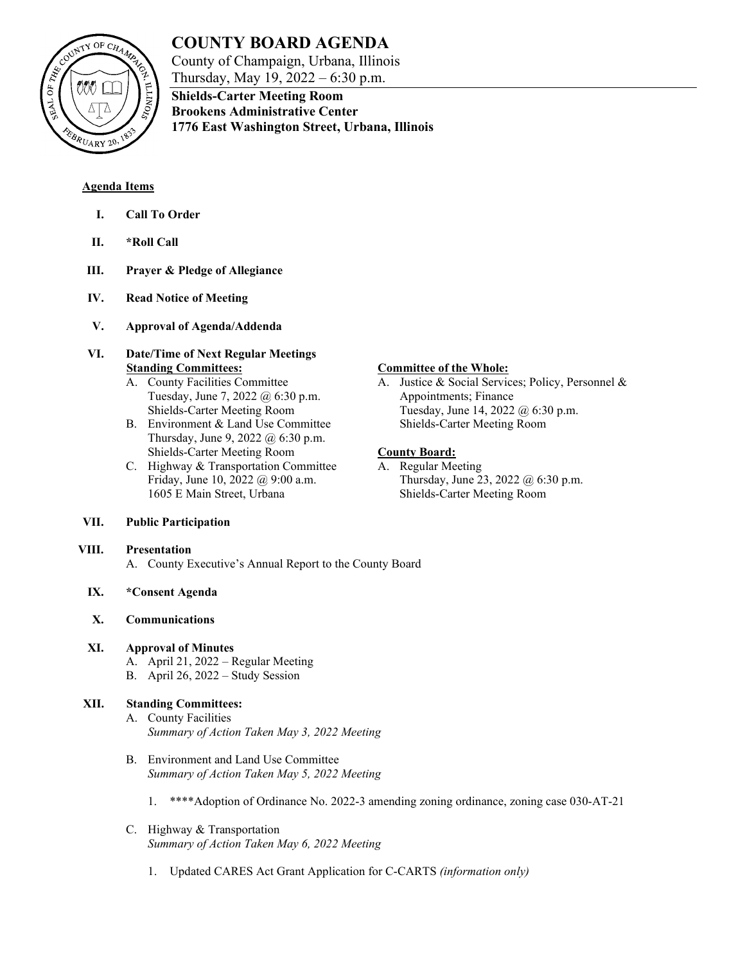

# **COUNTY BOARD AGENDA**

**Shields-Carter Meeting Room Brookens Administrative Center**

County of Champaign, Urbana, Illinois Thursday, May 19, 2022 – 6:30 p.m.

**1776 East Washington Street, Urbana, Illinois**

**Agenda Items**

- **I. Call To Order**
- **II. \*Roll Call**
- **III. Prayer & Pledge of Allegiance**
- **IV. Read Notice of Meeting**
- **V. Approval of Agenda/Addenda**
- **VI. Date/Time of Next Regular Meetings Standing Committees:**
	- A. County Facilities Committee Tuesday, June 7, 2022 @ 6:30 p.m. Shields-Carter Meeting Room
	- B. Environment & Land Use Committee Thursday, June 9, 2022 @ 6:30 p.m. Shields-Carter Meeting Room
	- C. Highway & Transportation Committee Friday, June 10, 2022 @ 9:00 a.m. 1605 E Main Street, Urbana

# **VII. Public Participation**

#### **VIII. Presentation**

A. County Executive's Annual Report to the County Board

# **IX. \*Consent Agenda**

# **X. Communications**

# **XI. Approval of Minutes**

- A. April 21, 2022 Regular Meeting
- B. April 26, 2022 Study Session

# **XII. Standing Committees:**

- A. County Facilities *Summary of Action Taken May 3, 2022 Meeting*
- B. Environment and Land Use Committee *Summary of Action Taken May 5, 2022 Meeting*
	- 1. \*\*\*\*Adoption of Ordinance No. 2022-3 amending zoning ordinance, zoning case 030-AT-21
- C. Highway & Transportation *Summary of Action Taken May 6, 2022 Meeting*
	- 1. Updated CARES Act Grant Application for C-CARTS *(information only)*

# **Committee of the Whole:**

A. Justice & Social Services; Policy, Personnel & Appointments; Finance Tuesday, June 14, 2022 @ 6:30 p.m. Shields-Carter Meeting Room

# **County Board:**

A. Regular Meeting Thursday, June 23, 2022 @ 6:30 p.m. Shields-Carter Meeting Room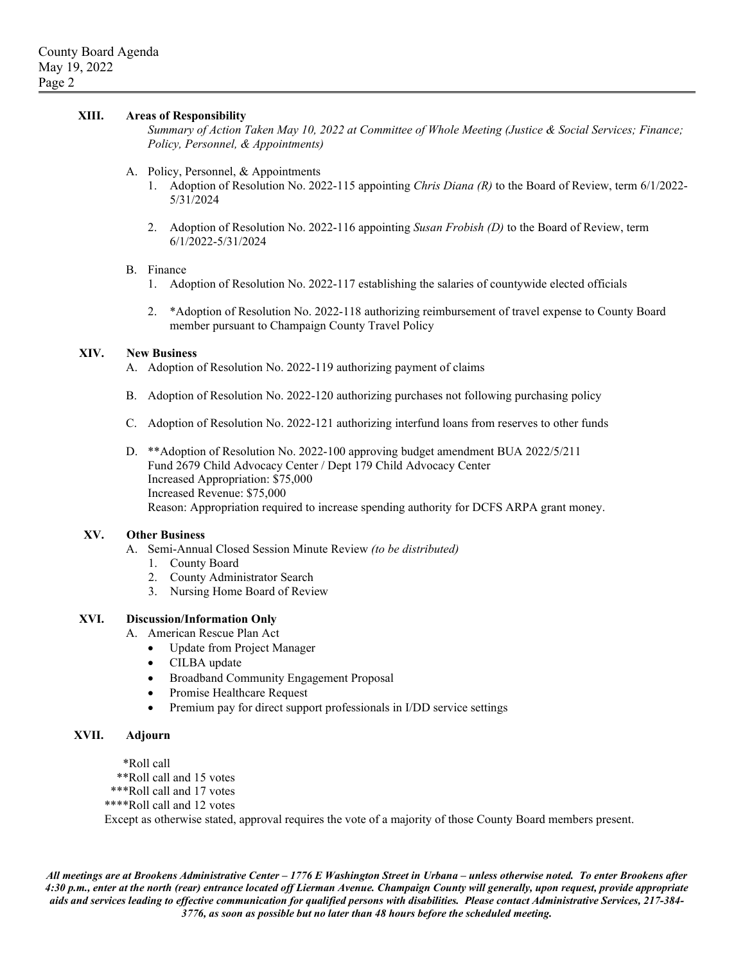#### **XIII. Areas of Responsibility**

*Summary of Action Taken May 10, 2022 at Committee of Whole Meeting (Justice & Social Services; Finance; Policy, Personnel, & Appointments)*

- A. Policy, Personnel, & Appointments
	- 1. Adoption of Resolution No. 2022-115 appointing *Chris Diana (R)* to the Board of Review, term 6/1/2022- 5/31/2024
	- 2. Adoption of Resolution No. 2022-116 appointing *Susan Frobish (D)* to the Board of Review, term 6/1/2022-5/31/2024

#### B. Finance

- 1. Adoption of Resolution No. 2022-117 establishing the salaries of countywide elected officials
- 2. \*Adoption of Resolution No. 2022-118 authorizing reimbursement of travel expense to County Board member pursuant to Champaign County Travel Policy

#### **XIV. New Business**

A. Adoption of Resolution No. 2022-119 authorizing payment of claims

- B. Adoption of Resolution No. 2022-120 authorizing purchases not following purchasing policy
- C. Adoption of Resolution No. 2022-121 authorizing interfund loans from reserves to other funds
- D. \*\*Adoption of Resolution No. 2022-100 approving budget amendment BUA 2022/5/211 Fund 2679 Child Advocacy Center / Dept 179 Child Advocacy Center Increased Appropriation: \$75,000 Increased Revenue: \$75,000 Reason: Appropriation required to increase spending authority for DCFS ARPA grant money.

#### **XV. Other Business**

- A. Semi-Annual Closed Session Minute Review *(to be distributed)*
	- 1. County Board
	- 2. County Administrator Search
	- 3. Nursing Home Board of Review

#### **XVI. Discussion/Information Only**

- A. American Rescue Plan Act
	- Update from Project Manager
	- CILBA update
	- Broadband Community Engagement Proposal
	- Promise Healthcare Request
	- Premium pay for direct support professionals in I/DD service settings

### **XVII. Adjourn**

\*Roll call

\*\*Roll call and 15 votes

- \*\*\*Roll call and 17 votes
- \*\*\*\*Roll call and 12 votes

Except as otherwise stated, approval requires the vote of a majority of those County Board members present.

*All meetings are at Brookens Administrative Center – 1776 E Washington Street in Urbana – unless otherwise noted. To enter Brookens after 4:30 p.m., enter at the north (rear) entrance located off Lierman Avenue. Champaign County will generally, upon request, provide appropriate aids and services leading to effective communication for qualified persons with disabilities. Please contact Administrative Services, 217-384- 3776, as soon as possible but no later than 48 hours before the scheduled meeting.*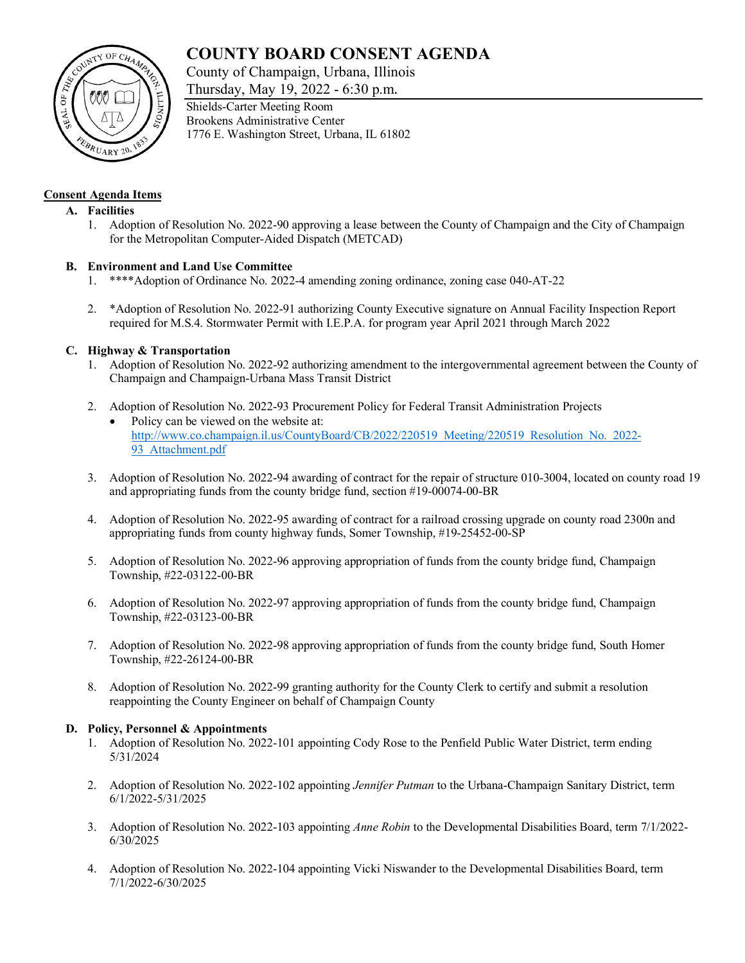# **COUNTY BOARD CONSENT AGENDA**

County of Champaign, Urbana, Illinois

Thursday, May 19, 2022 - 6:30 p.m.



## **Consent Agenda Items**

#### **A. Facilities**

1. Adoption of Resolution No. 2022-90 approving a lease between the County of Champaign and the City of Champaign for the Metropolitan Computer-Aided Dispatch (METCAD)

## **B. Environment and Land Use Committee**

- 1. \*\*\*\*Adoption of Ordinance No. 2022-4 amending zoning ordinance, zoning case 040-AT-22
- 2. \*Adoption of Resolution No. 2022-91 authorizing County Executive signature on Annual Facility Inspection Report required for M.S.4. Stormwater Permit with I.E.P.A. for program year April 2021 through March 2022

## **C. Highway & Transportation**

- 1. Adoption of Resolution No. 2022-92 authorizing amendment to the intergovernmental agreement between the County of Champaign and Champaign-Urbana Mass Transit District
- 2. Adoption of Resolution No. 2022-93 Procurement Policy for Federal Transit Administration Projects
	- Policy can be viewed on the website at: [http://www.co.champaign.il.us/CountyBoard/CB/2022/220519\\_Meeting/220519\\_Resolution\\_No.\\_2022-](http://www.co.champaign.il.us/CountyBoard/CB/2022/220519_Meeting/220519_Resolution_No._2022-93_Attachment.pdf) [93\\_Attachment.pdf](http://www.co.champaign.il.us/CountyBoard/CB/2022/220519_Meeting/220519_Resolution_No._2022-93_Attachment.pdf)
- 3. Adoption of Resolution No. 2022-94 awarding of contract for the repair of structure 010-3004, located on county road 19 and appropriating funds from the county bridge fund, section #19-00074-00-BR
- 4. Adoption of Resolution No. 2022-95 awarding of contract for a railroad crossing upgrade on county road 2300n and appropriating funds from county highway funds, Somer Township, #19-25452-00-SP
- 5. Adoption of Resolution No. 2022-96 approving appropriation of funds from the county bridge fund, Champaign Township, #22-03122-00-BR
- 6. Adoption of Resolution No. 2022-97 approving appropriation of funds from the county bridge fund, Champaign Township, #22-03123-00-BR
- 7. Adoption of Resolution No. 2022-98 approving appropriation of funds from the county bridge fund, South Homer Township, #22-26124-00-BR
- 8. Adoption of Resolution No. 2022-99 granting authority for the County Clerk to certify and submit a resolution reappointing the County Engineer on behalf of Champaign County

#### **D. Policy, Personnel & Appointments**

- 1. Adoption of Resolution No. 2022-101 appointing Cody Rose to the Penfield Public Water District, term ending 5/31/2024
- 2. Adoption of Resolution No. 2022-102 appointing *Jennifer Putman* to the Urbana-Champaign Sanitary District, term 6/1/2022-5/31/2025
- 3. Adoption of Resolution No. 2022-103 appointing *Anne Robin* to the Developmental Disabilities Board, term 7/1/2022- 6/30/2025
- 4. Adoption of Resolution No. 2022-104 appointing Vicki Niswander to the Developmental Disabilities Board, term 7/1/2022-6/30/2025

Shields-Carter Meeting Room Brookens Administrative Center 1776 E. Washington Street, Urbana, IL 61802